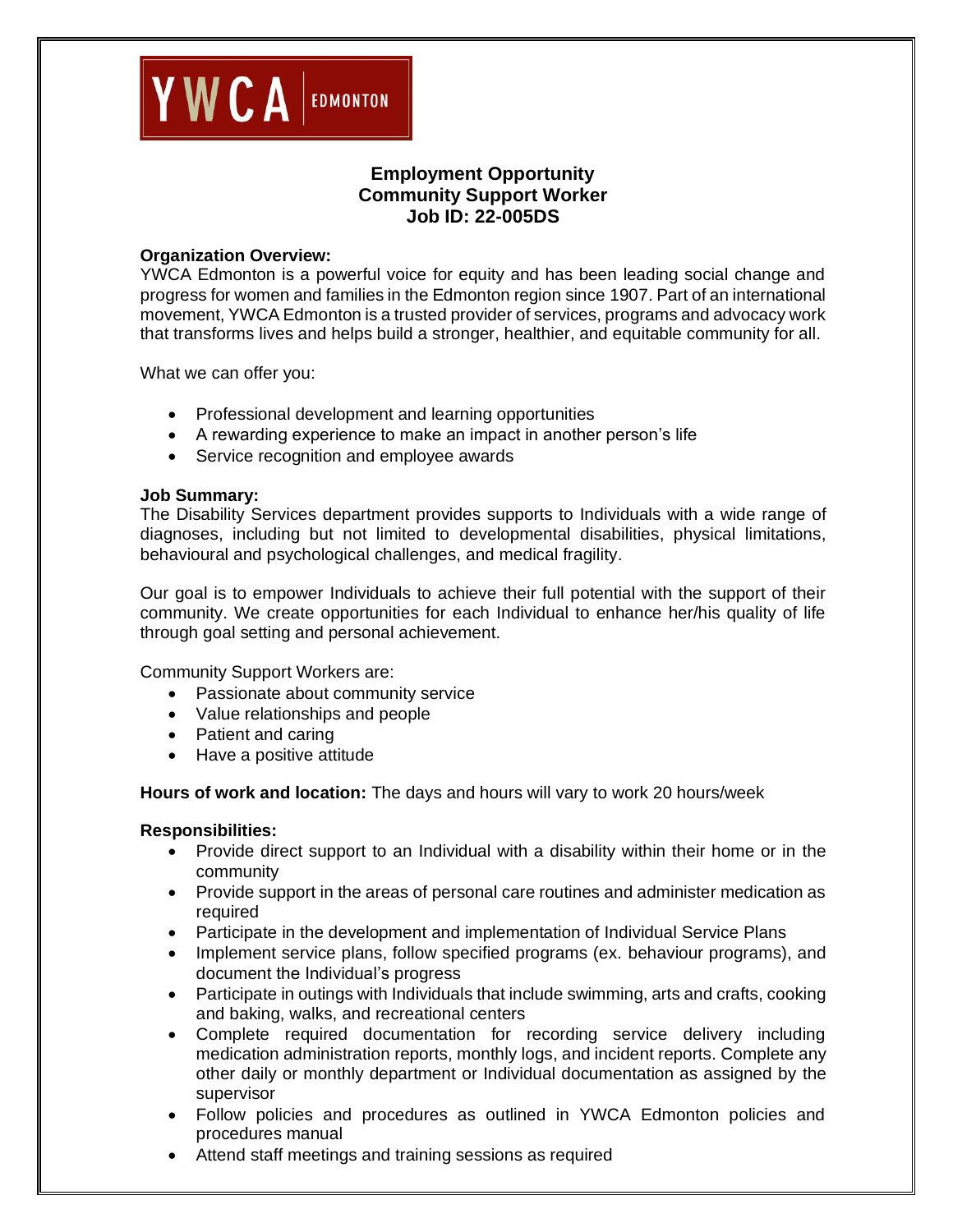

## **Employment Opportunity Community Support Worker Job ID: 22-005DS**

#### **Organization Overview:**

YWCA Edmonton is a powerful voice for equity and has been leading social change and progress for women and families in the Edmonton region since 1907. Part of an international movement, YWCA Edmonton is a trusted provider of services, programs and advocacy work that transforms lives and helps build a stronger, healthier, and equitable community for all.

What we can offer you:

- Professional development and learning opportunities
- A rewarding experience to make an impact in another person's life
- Service recognition and employee awards

#### **Job Summary:**

The Disability Services department provides supports to Individuals with a wide range of diagnoses, including but not limited to developmental disabilities, physical limitations, behavioural and psychological challenges, and medical fragility.

Our goal is to empower Individuals to achieve their full potential with the support of their community. We create opportunities for each Individual to enhance her/his quality of life through goal setting and personal achievement.

Community Support Workers are:

- Passionate about community service
- Value relationships and people
- Patient and caring
- Have a positive attitude

**Hours of work and location:** The days and hours will vary to work 20 hours/week

#### **Responsibilities:**

- Provide direct support to an Individual with a disability within their home or in the community
- Provide support in the areas of personal care routines and administer medication as required
- Participate in the development and implementation of Individual Service Plans
- Implement service plans, follow specified programs (ex. behaviour programs), and document the Individual's progress
- Participate in outings with Individuals that include swimming, arts and crafts, cooking and baking, walks, and recreational centers
- Complete required documentation for recording service delivery including medication administration reports, monthly logs, and incident reports. Complete any other daily or monthly department or Individual documentation as assigned by the supervisor
- Follow policies and procedures as outlined in YWCA Edmonton policies and procedures manual
- Attend staff meetings and training sessions as required